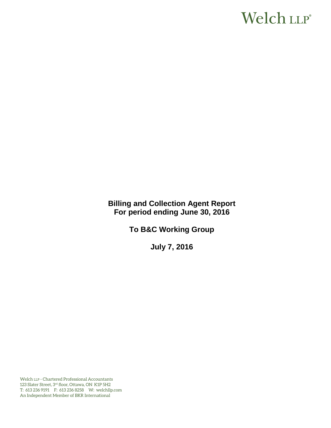# Welch LLP®

**Billing and Collection Agent Report For period ending June 30, 2016** 

**To B&C Working Group**

**July 7, 2016** 

Welch LLP - Chartered Professional Accountants 123 Slater Street, 3rd floor, Ottawa, ON K1P 5H2 T: 613 236 9191 F: 613 236 8258 W: welchllp.com An Independent Member of BKR International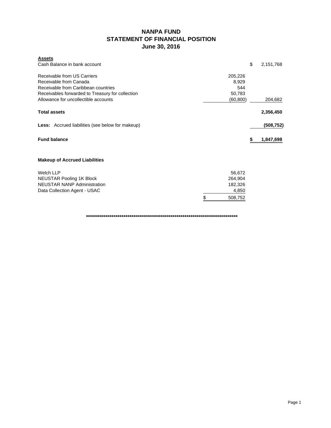# **NANPA FUND STATEMENT OF FINANCIAL POSITION June 30, 2016**

| <b>Assets</b><br>Cash Balance in bank account                                           |           |               | \$<br>2,151,768 |
|-----------------------------------------------------------------------------------------|-----------|---------------|-----------------|
| Receivable from US Carriers                                                             |           | 205,226       |                 |
| Receivable from Canada                                                                  |           | 8,929         |                 |
| Receivable from Caribbean countries<br>Receivables forwarded to Treasury for collection |           | 544<br>50,783 |                 |
| Allowance for uncollectible accounts                                                    | (60, 800) | 204,682       |                 |
| <b>Total assets</b>                                                                     |           |               | 2,356,450       |
| <b>Less:</b> Accrued liabilities (see below for makeup)                                 |           |               | (508,752)       |
| <b>Fund balance</b>                                                                     |           |               | 1,847,698       |
| <b>Makeup of Accrued Liabilities</b>                                                    |           |               |                 |
| Welch LLP                                                                               |           | 56,672        |                 |
| NEUSTAR Pooling 1K Block                                                                |           | 264,904       |                 |
| <b>NEUSTAR NANP Administration</b>                                                      |           | 182,326       |                 |
| Data Collection Agent - USAC                                                            |           | 4,850         |                 |
|                                                                                         | \$        | 508,752       |                 |

**\*\*\*\*\*\*\*\*\*\*\*\*\*\*\*\*\*\*\*\*\*\*\*\*\*\*\*\*\*\*\*\*\*\*\*\*\*\*\*\*\*\*\*\*\*\*\*\*\*\*\*\*\*\*\*\*\*\*\*\*\*\*\*\*\*\*\*\*\*\*\*\*\*\*\*\*\***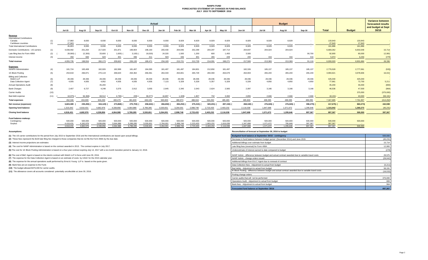#### **NANPA FUND FORECASTED STATEMENT OF CHANGES IN FUND BALANCE JULY 2015 TO SEPTEMBER 2016**

|                                              |      | Actual                 |                        |                        |                        |                        |                        |                        |                        |                        |                        |                        | <b>Budget</b>          |                        |                      |                    |                    | <b>Variance between</b><br>forecasted results |                             |
|----------------------------------------------|------|------------------------|------------------------|------------------------|------------------------|------------------------|------------------------|------------------------|------------------------|------------------------|------------------------|------------------------|------------------------|------------------------|----------------------|--------------------|--------------------|-----------------------------------------------|-----------------------------|
|                                              |      | <b>Jul-15</b>          | Aug-15                 | Sep-15                 | Oct-15                 | <b>Nov-15</b>          | <b>Dec-15</b>          | <b>Jan-16</b>          | Feb-16                 | Mar-16                 | Apr-16                 | Mav-16                 | <b>Jun-16</b>          | Jul-16                 | Aug-16               | Sep-16             | <b>Total</b>       | <b>Budget</b>                                 | and budget at Sept<br>30/16 |
| Revenue                                      |      |                        |                        |                        |                        |                        |                        |                        |                        |                        |                        |                        |                        |                        |                      |                    |                    |                                               |                             |
| <b>International Contributions</b><br>Canada | (1)  | 17,860                 | 8,930                  | 8,930                  | 8,930                  | 8,930                  | 8,930                  | 8,930                  | 8,929                  | 8,929                  | 8,929                  | 8,929                  | 8,929                  | 8,929                  | 8,929                |                    | 133,943            | 133,943                                       |                             |
| Caribbean countries                          | (1)  | 27,943                 | $\sim$ $-$             | $\sim$                 | $\sim$                 | $\sim$                 |                        | $\sim$                 | $\sim$                 | $\sim$ 100 $\mu$       | $\sim$                 | $\sim$ 100 $\mu$       | $\sim$ $-$             | $\sim$ $-$             | $\sim$               | $\sim$             | 27,943             | 27,943                                        |                             |
| <b>Total International Contributions</b>     |      | 45,803                 | 8,930                  | 8,930                  | 8,930                  | 8,930                  | 8,930                  | 8,930                  | 8,929                  | 8,929                  | 8,929                  | 8,929                  | 8,929                  | 8,929                  | 8,929                | $\sim$             | 161,886            | 161,886                                       |                             |
| Domestic Contributions - US carriers         | (1)  | 4,038,482              | 201,264                | 217,020                | 201,871                | 199,904                | 198,150                | 200,430                | 204,946                | 202,299                | 204,297                | 187,714                | 204,837                | 204,024                | 204,024              |                    | 6,669,262          | 6,653,548                                     | 15,714                      |
| Late filing fees for Form 499A               | (2)  | 28,900)                | 12,300                 | 33,600                 | 1,600)                 | 3,100)                 | 18,020)                | 24,320                 | 1,500                  | 1,200                  | 600                    | 1,400                  | 3,500                  |                        |                      | 90,700             | 92,900             | 80,000                                        | 12,900                      |
| Interest income                              | (3)  | 350                    | 660                    | 623                    | 401                    | 396                    | 411                    | 503                    | 346                    | 301                    | 265                    | 228                    | 240                    | 416                    | 416                  | 416                | 5,972              | 6.250                                         | (278)                       |
| <b>Total revenue</b>                         |      | 4.055.735              | 198,554                | 260.173                | 209,602                | 206,130                | 189.471                | 234.183                | 215,721                | 212,729                | 214.091                | 198.271                | 217,506                | 213,369                | 213,369              | 91.116             | 6.930.020          | 6.901.684                                     | 28,336                      |
| <b>Expenses</b>                              |      |                        |                        |                        |                        |                        |                        |                        |                        |                        |                        |                        |                        |                        |                      |                    |                    |                                               |                             |
| <b>NANPA Administration</b>                  | (4)  | 181,724                | 183,408                | 182,926                | 182,999                | 181,497                | 184,095                | 181,497                | 181,497                | 184,801                | 212,850                | 181,497                | 182,326                | 185,137                | 185,137              | 185,137            | 2,776,528          | 2,777,061                                     | (533)                       |
| 1K Block Pooling                             | (5)  | 253,919                | 266,971                | 270,119                | 268,620                | 264,362                | 266,061                | 264,343                | 264,801                | 265,729                | 284,393                | 264,679                | 264,904                | 265,240                | 265,240              | 265,240            | 3,994,621          | 3,978,606                                     | 16,015                      |
| <b>Billing and Collection</b><br>Welch LLP   | (6)  | 28,336                 | 28,336                 | 28,336                 | 28,336                 | 28,336                 | 28,336                 | 28,336                 | 28,336                 | 28,336                 | 28,336                 | 28,336                 | 28,336                 | 28,336                 | 28,336               | 28,336             | 425,040            | 425,040                                       |                             |
| Data Collection Agent                        | (7)  | 4,935                  | 4,935                  | 4,952                  | 4,935                  | 4,935                  | 4,935                  | 7,115                  | 5,328                  | 5,328                  | 5,357                  | 5,328                  | 5,328                  | 4,850                  | 4,850                | 4.850              | 77,961             | 72,750                                        | 5,211                       |
| <b>Annual Operations Audit</b>               | (8)  | $\sim$ $-$             | $\sim$                 | 45,200                 | $\sim$                 | $\sim$ $-$             | $\sim$                 | $\sim$ $-$             |                        | $\sim$                 | $\sim$                 |                        | $\sim$                 | $\overline{a}$         |                      | $\sim$             | 45,200             | 46,000                                        | (800)                       |
| <b>Bank Charges</b>                          | (9)  | 2.407                  | 6,727                  | 4,248                  | 3.375                  | 2,912                  | 3.055                  | 2.645                  | 2.340                  | 2.043                  | 2.624                  | 2.565                  | 2.097                  | 3.166                  | 3.166                | 3.166              | 46,536             | 47,500                                        | (964)                       |
| Carrier Audits                               | (10) | $\overline{a}$         | $\sim$                 | $\sim$                 | $\sim$                 | $\sim$                 | $\sim$                 |                        |                        |                        |                        |                        |                        |                        |                      | $\sim$             |                    | 375,000                                       | (375,000)                   |
| Bad debt expense                             | (11) | 18.975)                | 56,368)                | 68,512                 | 4,795)                 | 209)                   | 38,377)                | 16,897                 | 1,328)                 | 1,807                  | 732                    | 3,060                  | 2,855                  | 2,666                  | 2,666                | 2,666              | 18,191)            | 40,000                                        | (58, 191)                   |
| <b>Total expenses</b>                        |      | 452.346                | 434,009                | 604,293                | 483,470                | 481,833                | 448,105                | 500,833                | 480,974                | 488,044                | 534,292                | 485,465                | 485,846                | 489,395                | 489,395              | 489,395            | 7,347,695          | 7,761,957                                     | (414, 262)                  |
| Net revenue (expenses)                       |      | 3,603,389              | 235,455)               | 344,120)               | 273,868)               | 275,703)               | 258,634)               | 266,650)               | 265,253)               | 275,315)               | 320,201)               | 287,194) (             | 268,340) (             | 276,026)               | 276,026)             | 398,279)           | 417,675)           | 860,273)                                      | 442,598                     |
| <b>Opening fund balance</b>                  |      | 1,315,042              | 4,918,431              | 4.682.976              | 4.338.856              | 4.064.988              | 3,789,285              | 3,530,651              | 3.264.001              | 2,998,748              | 2,723,433              | 2,403,232              | 2,116,038              | 1,847,698              | 1,571,672            | 1,295,646          | 1,315,042          | 1,360,273                                     | (45, 231)                   |
| <b>Closing fund balance</b>                  |      | 4,918,431              | 4,682,976              | 4.338.856              | 4,064,988              | 3,789,285              | 3.530.651              | 3,264,001              | 2,998,748              | 2,723,433              | 2,403,232              | 2,116,038              | 1,847,698              | 1,571,672              | 1.295.646            | 897,367            | 897,367            | 500,000                                       | 397,367                     |
| Fund balance makeup:                         |      |                        |                        |                        |                        |                        |                        |                        |                        |                        |                        |                        |                        |                        |                      |                    |                    |                                               |                             |
| Contingency                                  |      | 500,000                | 500,000                | 500,000                | 500,000                | 500,000                | 500,000                | 500,000                | 500,000                | 500,000                | 500,000                | 500,000                | 500,000                | 500,000                | 500,000              | 500,000            | 500,000            | 500,000                                       |                             |
| Surplus                                      |      | 4.418.431<br>4.918.431 | 4.182.976<br>4.682.976 | 3.838.856<br>4.338.856 | 3.564.988<br>4.064.988 | 3.289.285<br>3.789.285 | 3.030.651<br>3.530.651 | 2.764.001<br>3.264.001 | 2.498.748<br>2.998.748 | 2,223,433<br>2.723.433 | 1.903.232<br>2.403.232 | 1.616.038<br>2.116.038 | 1.347.698<br>1.847.698 | 1.071.672<br>1.571.672 | 795.646<br>1.295.646 | 397.367<br>897.367 | 397.367<br>897.367 | 500,000                                       |                             |
|                                              |      |                        |                        |                        |                        |                        |                        |                        |                        |                        |                        |                        |                        |                        |                      |                    |                    |                                               |                             |

**(1)** The US carrier contributions for the period from July 2015 to September 2016 and the International contributions are based upon actual billings.

(2) These fees represent the \$100 late filing fee charged to those companies that do not file the Form 499A by the due date.

**(3)** Interest income projections are estimates

**(4)** The cost for NANP Administration is based on the contract awarded in 2013. The contract expires in July 2017.

(5) The cost for 1K Block Pooling Administration is based on a four-year contract expiring July 14, 2017 with a six-month transition period to January 14, 2018.

**(6)** The cost of B&C Agent is based on the interim contract with Welch LLP in force until June 30, 2016.

**(7)** The expense for the Data Collection Agent is based on an estimate of costs by USAC for the 2015 calendar year.

**(8)** The expense for the annual operations audit performed by Ernst & Young LLP is based on the quote given.

**(9)** Bank fees are an expense to the Fund.

**(10)** The budget allowed \$375,000 for carrier audits.

**(11)** The allowance covers all accounts considered potentially uncollectible at June 30, 2016.

**Assumptions: Reconciliation of forecast at September 30, 2016 to budget**

| Budgeted fund balance at September 30/16 - contingency                                                | 500,000   |
|-------------------------------------------------------------------------------------------------------|-----------|
| Decrease in fund balance between budget period (December 2014) and June 2015                          | (45, 231) |
| Additional billings over estimate from budget                                                         | 15,714    |
| Late filing fees (reversal) for Form 499A                                                             | 12,900    |
| Underestimate of interest earned to date compared to budget                                           | (278)     |
| NANP Admin - difference between budget and actual contract awarded due to variable travel costs       | 29,575    |
| NANP Admin - change orders issued                                                                     | (29, 042) |
| Additional billings from B & C Agent due to renewal of contract                                       |           |
| Data Collection fees - Adjustment to actual from budget                                               | (5,211)   |
| Bad debts - Adjustment to actual from budget                                                          | 58,191    |
| IK Block Pooling - difference between budget and actual contract awarded due to variable travel costs | (16, 015) |
| Pooling change orders                                                                                 |           |
| Carrier audits that will not be performed                                                             | 375,000   |
| Operations Audit - Adjustment to actual from budget                                                   | 800       |
| Bank fees - Adjustment to actual from budget                                                          | 964       |
| Forecasted fund balance at September 30/16                                                            | 897,367   |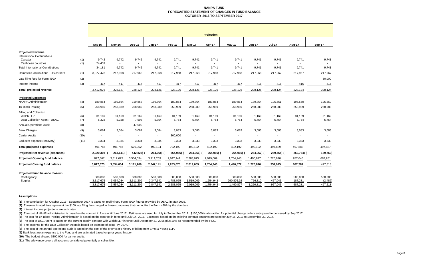#### **NANPA FUND FORECASTED STATEMENT OF CHANGES IN FUND BALANCE OCTOBER 2016 TO SEPTEMBER 2017**

|                                                                            |            | <b>Projection</b>                 |                                   |                                   |                                   |                                   |                                   |                                   |                                    |                                 |                               |                               |                                |
|----------------------------------------------------------------------------|------------|-----------------------------------|-----------------------------------|-----------------------------------|-----------------------------------|-----------------------------------|-----------------------------------|-----------------------------------|------------------------------------|---------------------------------|-------------------------------|-------------------------------|--------------------------------|
|                                                                            |            | Oct-16                            | <b>Nov-16</b>                     | Dec-16                            | <b>Jan-17</b>                     | Feb-17                            | Mar-17                            | Apr-17                            | May-17                             | <b>Jun-17</b>                   | <b>Jul-17</b>                 | Aug-17                        | Sep-17                         |
| <b>Projected Revenue</b><br><b>International Contributions</b><br>Canada   | (1)        | 9,742                             | 9,742                             | 9,742                             | 9,741                             | 9,741                             | 9,741                             | 9,741                             | 9,741                              | 9,741                           | 9,741                         | 9,741                         | 9,741                          |
| Caribbean countries<br><b>Total International Contributions</b>            | (1)        | 24,439<br>34,181                  | $\sim$<br>9.742                   | $\sim$<br>9,742                   | $\sim$<br>9,741                   | $\overline{\phantom{a}}$<br>9.741 | 9,741                             | $\overline{\phantom{a}}$<br>9,741 | $\overline{\phantom{a}}$<br>9,741  | $\sim$<br>9,741                 | 9,741                         | $\blacksquare$<br>9,741       | 9,741                          |
| Domestic Contributions - US carriers                                       | (1)        | 3,377,478                         | 217,968                           | 217,968                           | 217,968                           | 217,968                           | 217,968                           | 217,968                           | 217,968                            | 217,968                         | 217,967                       | 217,967                       | 217,967                        |
| Late filing fees for Form 499A                                             |            |                                   |                                   |                                   |                                   |                                   |                                   |                                   | $\overline{\phantom{a}}$           |                                 |                               |                               | 80,000                         |
| Interest income                                                            | (2)<br>(3) | 417                               | 417                               | 417                               | $\overline{\phantom{a}}$<br>417   | 417                               | ٠<br>417                          | $\overline{\phantom{a}}$<br>417   | 417                                | $\overline{\phantom{a}}$<br>416 | 416                           | 416                           | 416                            |
|                                                                            |            |                                   |                                   |                                   |                                   |                                   |                                   |                                   |                                    |                                 |                               |                               |                                |
| Total projected revenue                                                    |            | 3,412,076                         | 228,127                           | 228,127                           | 228,126                           | 228,126                           | 228,126                           | 228,126                           | 228,126                            | 228,125                         | 228,124                       | 228,124                       | 308,124                        |
| <b>Projected Expenses</b><br><b>NANPA Administration</b>                   | (4)        | 189,864                           | 189,864                           | 319,868                           | 189,864                           | 189,864                           | 189,864                           | 189,864                           | 189,864                            | 189,864                         | 195,561                       | 195,560                       | 195,560                        |
| 1K Block Pooling                                                           | (5)        | 258,989                           | 258,989                           | 258,989                           | 258,989                           | 258,989                           | 258,989                           | 258,989                           | 258,989                            | 258,989                         | 258,989                       | 258,989                       | 258,988                        |
| <b>Billing and Collection</b><br>Welch LLP<br>Data Collection Agent - USAC | (6)<br>(7) | 31,169<br>5,328                   | 31,169<br>5,328                   | 31,169<br>7,508                   | 31,169<br>5,754                   | 31,169<br>5,754                   | 31,169<br>5,754                   | 31,169<br>5,754                   | 31,169<br>5,754                    | 31,169<br>5,754                 | 31,169<br>5,754               | 31,169<br>5,754               | 31,169<br>5,754                |
| <b>Annual Operations Audit</b>                                             | (8)        | $\overline{\phantom{a}}$          | $\sim$                            | 47,000                            | $\sim$                            |                                   | $\sim$                            | $\overline{\phantom{a}}$          | ٠                                  | $\blacksquare$                  |                               | $\overline{\phantom{a}}$      |                                |
| <b>Bank Charges</b>                                                        | (9)        | 3,084                             | 3,084                             | 3,084                             | 3,084                             | 3,083                             | 3,083                             | 3,083                             | 3,083                              | 3,083                           | 3,083                         | 3,083                         | 3,083                          |
| <b>Carrier Audits</b>                                                      | (10)       | $\overline{\phantom{a}}$          |                                   | $\overline{\phantom{a}}$          | $\sim$                            | 300,000                           | $\blacksquare$                    | $\overline{\phantom{a}}$          | $\blacksquare$                     | $\overline{\phantom{a}}$        | $\overline{\phantom{a}}$      | $\overline{\phantom{a}}$      |                                |
| Bad debt expense (recovery)                                                | (11)       | 3,334                             | 3,334                             | 3,334                             | 3,334                             | 3,333                             | 3,333                             | 3,333                             | 3,333                              | 3,333                           | 3,333                         | 3,333                         | 3,333                          |
| <b>Total projected expenses</b>                                            |            | 491,768                           | 491,768                           | 670,952                           | 492,194                           | 792,192                           | 492,192                           | 492,192                           | 492,192                            | 492,192                         | 497,889                       | 497,888                       | 497,887                        |
| Projected Net revenue (expenses)                                           |            | 2,920,308                         | 263,641                           | 442,825) (                        | 264,068)                          | 564,066) (                        | 264,066) (                        | 264,066) (                        | 264,066)                           | 264,067) (                      | 269,765) (                    | 269,764) (                    | 189,763)                       |
| <b>Projected Opening fund balance</b>                                      |            | 897,367                           | 3,817,675                         | 3,554,034                         | 3,111,209                         | 2,847,141                         | 2,283,075                         | 2,019,009                         | 1,754,943                          | 1,490,877                       | 1,226,810                     | 957,045                       | 687,281                        |
| <b>Projected Closing fund balance</b>                                      |            | 3,817,675                         | 3,554,034                         | 3,111,209                         | 2,847,141                         | 2,283,075                         | 2,019,009                         | 1,754,943                         | 1,490,877                          | 1,226,810                       | 957,045                       | 687,281                       | 497,518                        |
| Projected Fund balance makeup:<br>Contingency<br>Surplus                   |            | 500,000<br>3,317,675<br>3,817,675 | 500,000<br>3,054,034<br>3,554,034 | 500,000<br>2,611,209<br>3,111,209 | 500,000<br>2,347,141<br>2,847,141 | 500,000<br>1,783,075<br>2,283,075 | 500,000<br>1,519,009<br>2,019,009 | 500,000<br>1,254,943<br>1,754,943 | 500,000<br>990,876.92<br>1,490,877 | 500,000<br>726,810<br>1,226,810 | 500,000<br>457,045<br>957,045 | 500,000<br>187,281<br>687,281 | 500,000<br>(2, 482)<br>497,518 |
|                                                                            |            |                                   |                                   |                                   |                                   |                                   |                                   |                                   |                                    |                                 |                               |                               |                                |

#### **Assumptions:**

**(1)** The contribution for October 2016 - September 2017 is based on preliminary Form 499A figures provided by USAC in May 2016.

**(2)** These estimated fees represent the \$100 late filing fee charged to those companies that do not file the Form 499A by the due date.

**(3)** Interest income projections are estimates

(4) The cost of NANP administration is based on the contract in force until June 2017. Estimates are used for July to September 2017. \$130,000 is also added for potential change orders anticipated to be issued by Sep 2017.

**(5)** The cost for 1K Block Pooling Administration is based on the contract in force until July 14, 2017. Estimates based on the existing contract amounts are used for July 15, 2017 to September 30, 2017.

**(6)** The cost of B&C Agent is based on the current interim contract with Welch LLP in force until December 31, 2016 plus 10% as recommended by the FCC.

**(7)** The expense for the Data Collection Agent is based on estimate of costs by USAC.

**(8)** The cost of the annual operations audit is based on the cost of the prior year's history of billing from Ernst & Young LLP.

**(9)** Bank fees are an expense to the Fund and are estimated based on prior years' history.

**(10)** The budget allowed \$300,000 for carrier audits.

**(11)** The allowance covers all accounts considered potentially uncollectible.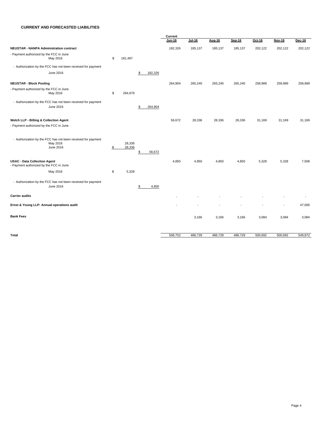#### **CURRENT AND FORECASTED LIABILITIES**

|                                                                                       |           |                  |               | Current       |               |         |         |         |               |               |  |  |
|---------------------------------------------------------------------------------------|-----------|------------------|---------------|---------------|---------------|---------|---------|---------|---------------|---------------|--|--|
|                                                                                       |           |                  |               | <b>Jun-16</b> | <b>Jul-16</b> | Aug-16  | Sep-16  | Oct-16  | <b>Nov-16</b> | <b>Dec-16</b> |  |  |
| <b>NEUSTAR - NANPA Administration contract</b>                                        |           |                  |               | 182,326       | 185,137       | 185,137 | 185,137 | 202,122 | 202,122       | 202,122       |  |  |
| - Payment authorized by the FCC in June<br>May 2016                                   | \$        | 181,497          |               |               |               |         |         |         |               |               |  |  |
| - Authorization by the FCC has not been received for payment                          |           |                  |               |               |               |         |         |         |               |               |  |  |
| June 2016                                                                             |           |                  | \$<br>182,326 |               |               |         |         |         |               |               |  |  |
| <b>NEUSTAR - Block Pooling</b>                                                        |           |                  |               | 264,904       | 265,240       | 265,240 | 265,240 | 258,989 | 258,989       | 258,989       |  |  |
| - Payment authorized by the FCC in June<br>May 2016                                   | \$        | 264,679          |               |               |               |         |         |         |               |               |  |  |
| - Authorization by the FCC has not been received for payment<br>June 2016             |           |                  | \$<br>264,904 |               |               |         |         |         |               |               |  |  |
| Welch LLP - Billing & Collection Agent                                                |           |                  |               | 56,672        | 28,336        | 28,336  | 28,336  | 31,169  | 31,169        | 31,169        |  |  |
| - Payment authorized by the FCC in June                                               |           |                  |               |               |               |         |         |         |               |               |  |  |
| - Authorization by the FCC has not been received for payment<br>May 2016<br>June 2016 | <u>\$</u> | 28,336<br>28,336 | \$<br>56,672  |               |               |         |         |         |               |               |  |  |
| <b>USAC - Data Collection Agent</b><br>- Payment authorized by the FCC in June        |           |                  |               | 4,850         | 4,850         | 4,850   | 4,850   | 5,328   | 5,328         | 7,508         |  |  |
| May 2016                                                                              | \$        | 5,328            |               |               |               |         |         |         |               |               |  |  |
| - Authorization by the FCC has not been received for payment<br>June 2016             |           |                  | \$<br>4,850   |               |               |         |         |         |               |               |  |  |
| <b>Carrier audits</b>                                                                 |           |                  |               |               |               |         |         |         |               |               |  |  |
| Ernst & Young LLP- Annual operations audit                                            |           |                  |               |               |               |         |         |         | ٠             | 47,000        |  |  |
| <b>Bank Fees</b>                                                                      |           |                  |               |               | 3,166         | 3,166   | 3,166   | 3,084   | 3,084         | 3,084         |  |  |
| <b>Total</b>                                                                          |           |                  |               | 508,752       | 486,729       | 486,729 | 486,729 | 500,692 | 500,692       | 549,872       |  |  |